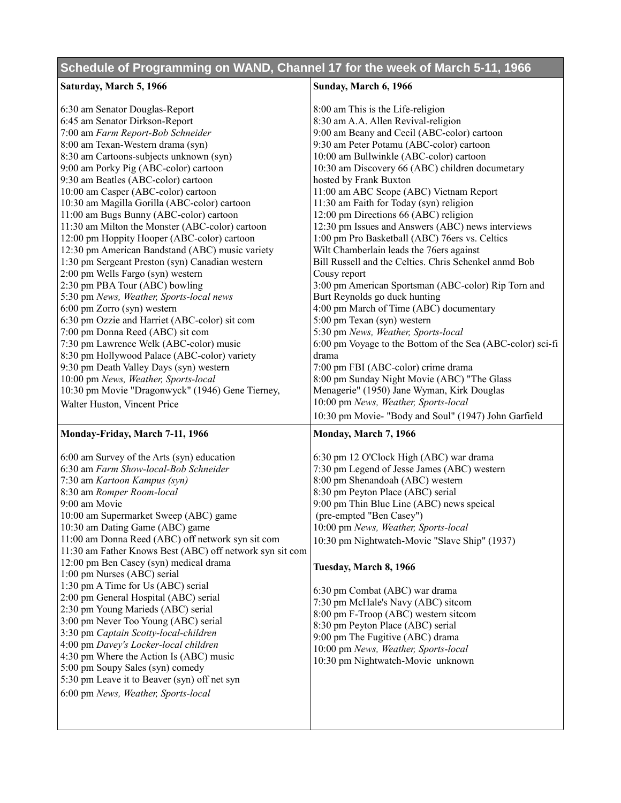## **Schedule of Programming on WAND, Channel 17 for the week of March 5-11, 1966**

| Saturday, March 5, 1966                                                       | Sunday, March 6, 1966                                      |
|-------------------------------------------------------------------------------|------------------------------------------------------------|
| 6:30 am Senator Douglas-Report                                                | 8:00 am This is the Life-religion                          |
| 6:45 am Senator Dirkson-Report                                                | 8:30 am A.A. Allen Revival-religion                        |
| 7:00 am Farm Report-Bob Schneider                                             | 9:00 am Beany and Cecil (ABC-color) cartoon                |
| 8:00 am Texan-Western drama (syn)                                             | 9:30 am Peter Potamu (ABC-color) cartoon                   |
| 8:30 am Cartoons-subjects unknown (syn)                                       | 10:00 am Bullwinkle (ABC-color) cartoon                    |
| 9:00 am Porky Pig (ABC-color) cartoon                                         | 10:30 am Discovery 66 (ABC) children documetary            |
| 9:30 am Beatles (ABC-color) cartoon                                           | hosted by Frank Buxton                                     |
| 10:00 am Casper (ABC-color) cartoon                                           | 11:00 am ABC Scope (ABC) Vietnam Report                    |
| 10:30 am Magilla Gorilla (ABC-color) cartoon                                  | 11:30 am Faith for Today (syn) religion                    |
| 11:00 am Bugs Bunny (ABC-color) cartoon                                       | 12:00 pm Directions 66 (ABC) religion                      |
| 11:30 am Milton the Monster (ABC-color) cartoon                               | 12:30 pm Issues and Answers (ABC) news interviews          |
| 12:00 pm Hoppity Hooper (ABC-color) cartoon                                   | 1:00 pm Pro Basketball (ABC) 76ers vs. Celtics             |
| 12:30 pm American Bandstand (ABC) music variety                               | Wilt Chamberlain leads the 76ers against                   |
| 1:30 pm Sergeant Preston (syn) Canadian western                               | Bill Russell and the Celtics. Chris Schenkel anmd Bob      |
| 2:00 pm Wells Fargo (syn) western                                             | Cousy report                                               |
| 2:30 pm PBA Tour (ABC) bowling                                                | 3:00 pm American Sportsman (ABC-color) Rip Torn and        |
| 5:30 pm News, Weather, Sports-local news                                      | Burt Reynolds go duck hunting                              |
| 6:00 pm Zorro (syn) western                                                   | 4:00 pm March of Time (ABC) documentary                    |
| 6:30 pm Ozzie and Harriet (ABC-color) sit com                                 | 5:00 pm Texan (syn) western                                |
| 7:00 pm Donna Reed (ABC) sit com                                              | 5:30 pm News, Weather, Sports-local                        |
| 7:30 pm Lawrence Welk (ABC-color) music                                       | 6:00 pm Voyage to the Bottom of the Sea (ABC-color) sci-fi |
| 8:30 pm Hollywood Palace (ABC-color) variety                                  | drama                                                      |
| 9:30 pm Death Valley Days (syn) western                                       | 7:00 pm FBI (ABC-color) crime drama                        |
| 10:00 pm News, Weather, Sports-local                                          | 8:00 pm Sunday Night Movie (ABC) "The Glass                |
| 10:30 pm Movie "Dragonwyck" (1946) Gene Tierney,                              | Menagerie" (1950) Jane Wyman, Kirk Douglas                 |
| Walter Huston, Vincent Price                                                  | 10:00 pm News, Weather, Sports-local                       |
|                                                                               | 10:30 pm Movie- "Body and Soul" (1947) John Garfield       |
| Monday-Friday, March 7-11, 1966                                               | Monday, March 7, 1966                                      |
| 6:00 am Survey of the Arts (syn) education                                    | 6:30 pm 12 O'Clock High (ABC) war drama                    |
| 6:30 am Farm Show-local-Bob Schneider                                         | 7:30 pm Legend of Jesse James (ABC) western                |
| 7:30 am Kartoon Kampus (syn)                                                  | 8:00 pm Shenandoah (ABC) western                           |
| 8:30 am Romper Room-local                                                     | 8:30 pm Peyton Place (ABC) serial                          |
| 9:00 am Movie                                                                 | 9:00 pm Thin Blue Line (ABC) news speical                  |
| 10:00 am Supermarket Sweep (ABC) game                                         | (pre-empted "Ben Casey")                                   |
| 10:30 am Dating Game (ABC) game                                               | 10:00 pm News, Weather, Sports-local                       |
| 11:00 am Donna Reed (ABC) off network syn sit com                             | 10:30 pm Nightwatch-Movie "Slave Ship" (1937)              |
| 11:30 am Father Knows Best (ABC) off network syn sit com                      |                                                            |
| 12:00 pm Ben Casey (syn) medical drama                                        | Tuesday, March 8, 1966                                     |
| 1:00 pm Nurses (ABC) serial                                                   |                                                            |
| 1:30 pm A Time for Us (ABC) serial                                            | 6:30 pm Combat (ABC) war drama                             |
| 2:00 pm General Hospital (ABC) serial                                         | 7:30 pm McHale's Navy (ABC) sitcom                         |
| 2:30 pm Young Marieds (ABC) serial                                            | 8:00 pm F-Troop (ABC) western sitcom                       |
| 3:00 pm Never Too Young (ABC) serial<br>3:30 pm Captain Scotty-local-children | 8:30 pm Peyton Place (ABC) serial                          |
|                                                                               |                                                            |
|                                                                               | 9:00 pm The Fugitive (ABC) drama                           |
| 4:00 pm Davey's Locker-local children                                         | 10:00 pm News, Weather, Sports-local                       |
| 4:30 pm Where the Action Is (ABC) music                                       | 10:30 pm Nightwatch-Movie unknown                          |
| 5:00 pm Soupy Sales (syn) comedy                                              |                                                            |
| 5:30 pm Leave it to Beaver (syn) off net syn                                  |                                                            |
| 6:00 pm News, Weather, Sports-local                                           |                                                            |